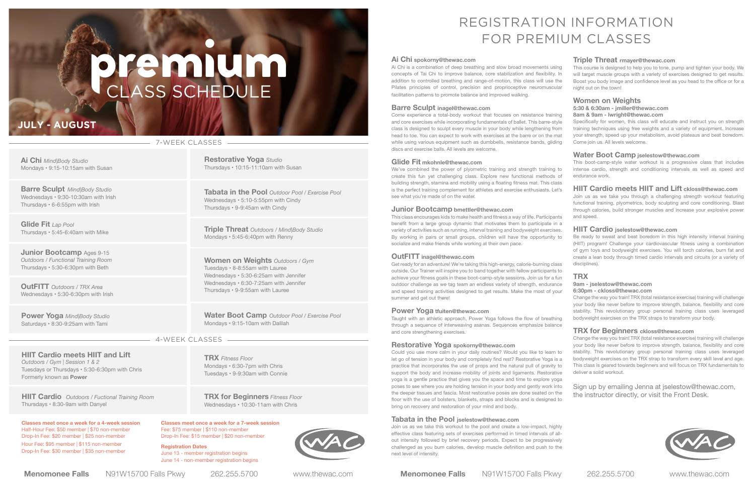**Menomonee Falls** N91W15700 Falls Pkwy 262.255.5700 www.thewac.com **Menomonee Falls** N91W15700 Falls Pkwy 262.255.5700 www.thewac.com

**Barre Sculpt** *Mind|Body Studio* Wednesdays • 9:30-10:30am with Irish Thursdays • 6-6:55pm with Irish

**Junior Bootcamp** Ages 9-15 *Outdoors / Functional Training Room* Thursdays • 5:30-6:30pm with Beth

**Ai Chi** *Mind|Body Studio* Mondays • 9:15-10:15am with Susan

**Glide Fit** *Lap Pool* Thursdays • 5:45-6:40am with Mike

**OutFITT** *Outdoors / TRX Area* Wednesdays • 5:30-6:30pm with Irish

**HIIT Cardio meets HIIT and Lift** *Outdoors / Gym | Session 1 & 2* Tuesdays or Thursdays • 5:30-6:30pm with Chris Formerly known as **Power**

**Power Yoga** *Mind|Body Studio* Saturdays • 8:30-9:25am with Tami

**Restorative Yoga** *Studio*

Thursdays • 10:15-11:10am with Susan

**Tabata in the Pool** *Outdoor Pool / Exercise Pool*

Wednesdays • 5:10-5:55pm with Cindy Thursdays • 9-9:45am with Cindy

**TRX** *Fitness Floor* Mondays • 6:30-7pm with Chris Tuesdays • 9-9:30am with Connie

**TRX for Beginners** *Fitness Floor* Wednesdays • 10:30-11am with Chris

**Triple Threat** *Outdoors / Mind|Body Studio*

Mondays • 5:45-6:40pm with Renny

**HIIT Cardio** *Outdoors / Fuctional Training Room* Thursdays • 8:30-9am with Danyel

**Women on Weights** *Outdoors / Gym*

Tuesdays • 8-8:55am with Lauree

Wednesdays • 5:30-6:25am with Jennifer Wednesdays • 6:30-7:25am with Jennifer Thursdays • 9-9:55am with Lauree

**Water Boot Camp** *Outdoor Pool / Exercise Pool* Mondays • 9:15-10am with Dalilah

#### **Ai Chi spokorny@thewac.com**

Ai Chi is a combination of deep breathing and slow broad movements using concepts of Tai Chi to improve balance, core stabilization and flexibility. In addition to controlled breathing and range-of-motion, this class will use the Pilates principles of control, precision and proprioceptive neuromuscular facilitation patterns to promote balance and improved walking.

#### **Barre Sculpt inagel@thewac.com**

Come experience a total-body workout that focuses on resistance training and core exercises while incorporating fundamentals of ballet. This barre-style class is designed to sculpt every muscle in your body while lengthening from head to toe. You can expect to work with exercises at the barre or on the mat while using various equipment such as dumbbells, resistance bands, gliding discs and exercise balls. All levels are welcome.

#### **Glide Fit mkohnle@thewac.com**

#### **Junior Bootcamp bmettler@thewac.com**

This class encourages kids to make health and fitness a way of life. Participants benefit from a large group dynamic that motivates them to participate in a variety of activities such as running, interval training and bodyweight exercises. By working in pairs or small groups, children will have the opportunity to socialize and make friends while working at their own pace.

#### **OutFITT inagel@thewac.com**

Get ready for an adventure! We're taking this high-energy, calorie-burning class outside. Our Trainer will inspire you to band together with fellow participants to achieve your fitness goals in these boot-camp-style sessions. Join us for a fun outdoor challenge as we tag team an endless variety of strength, endurance and speed training activities designed to get results. Make the most of your summer and get out there!

#### **Power Yoga tfuiten@thewac.com**

# CLASS SCHEDULE premium

Taught with an athletic approach, Power Yoga follows the flow of breathing through a sequence of interweaving asanas. Sequences emphasize balance and core strengthening exercises.

#### **Restorative Yoga spokorny@thewac.com**

We've combined the power of plyometric training and strength training to create this fun yet challenging class. Explore new functional methods of building strength, stamina and mobility using a floating fitness mat. This class is the perfect training complement for athletes and exercise enthusiasts. Let's see what you're made of on the water. This boot-camp-style water workout is a progressive class that includes intense cardio, strength and conditioning intervals as well as speed and endurance work. **HIIT Cardio meets HIIT and Lift ckloss@thewac.com** Join us as we take you through a challenging strength workout featuring

#### **Tabata in the Pool jselestow@thewac.com**

Join us as we take this workout to the pool and create a low-impact, highly effective class featuring sets of exercises performed in timed intervals of allout intensity followed by brief recovery periods. Expect to be progressively challenged as you burn calories, develop muscle definition and push to the next level of intensity.

#### **Triple Threat rmayer@thewac.com**

This course is designed to help you to tone, pump and tighten your body. We will target muscle groups with a variety of exercises designed to get results. Boost you body image and confidence level as you head to the office or for a night out on the town!

#### **Women on Weights 5:30 & 6:30am - jmiller@thewac.com**

#### **8am & 9am - lwright@thewac.com**

Specifically for women, this class will educate and instruct you on strength training techniques using free weights and a variety of equipment. Increase your strength, speed up your metabolism, avoid plateaus and beat boredom. Come join us. All levels welcome.

#### **Water Boot Camp jselestow@thewac.com**

Could you use more calm in your daily routines? Would you like to learn to let go of tension in your body and completely find rest? Restorative Yoga is a practice that incorporates the use of props and the natural pull of gravity to support the body and increase mobility of joints and ligaments. Restorative yoga is a gentle practice that gives you the space and time to explore yoga poses to see where you are holding tension in your body and gently work into the deeper tissues and fascia. Most restorative poses are done seated on the floor with the use of bolsters, blankets, straps and blocks and is designed to bring on recovery and restoration of your mind and body. deliver a solid workout. Sign up by emailing Jenna at jselestow@thewac.com, the instructor directly, or visit the Front Desk.

functional training, plyometrics, body sculpting and core conditioning. Blast through calories, build stronger muscles and increase your explosive power and speed.

#### **HIIT Cardio jselestow@thewac.com**

Be ready to sweat and beat boredom in this high intensity interval training (HIIT) program! Challenge your cardiovascular fitness using a combination of gym toys and bodyweight exercises. You will torch calories, burn fat and create a lean body through timed cardio intervals and circuits (or a variety of disciplines).

#### **TRX**

#### **9am - jselestow@thewac.com**

#### **6:30pm - ckloss@thewac.com**

Change the way you train! TRX (total resistance exercise) training will challenge your body like never before to improve strength, balance, flexibility and core stability. This revolutionary group personal training class uses leveraged bodyweight exercises on the TRX straps to transform your body.

#### **TRX for Beginners ckloss@thewac.com**

Change the way you train! TRX (total resistance exercise) training will challenge your body like never before to improve strength, balance, flexibility and core stability. This revolutionary group personal training class uses leveraged bodyweight exercises on the TRX strap to transform every skill level and age. This class is geared towards beginners and will focus on TRX fundamentals to



## REGISTRATION INFORMATION FOR PREMIUM CLASSES

## **JULY - AUGUST**

#### 7-WEEK CLASSES

### 4-WEEK CLASSES

**Classes meet once a week for a 4-week session** Half-Hour Fee: \$50 member | \$70 non-member Drop-In Fee: \$20 member | \$25 non-member Hour Fee: \$95 member | \$115 non-member

Drop-In Fee: \$30 member | \$35 non-member

**Classes meet once a week for a 7-week session** Fee: \$75 member | \$110 non-member Drop-In Fee: \$15 member | \$20 non-member

**Registration Dates** June 13 - member registration begins June 14 - non-member registration begins